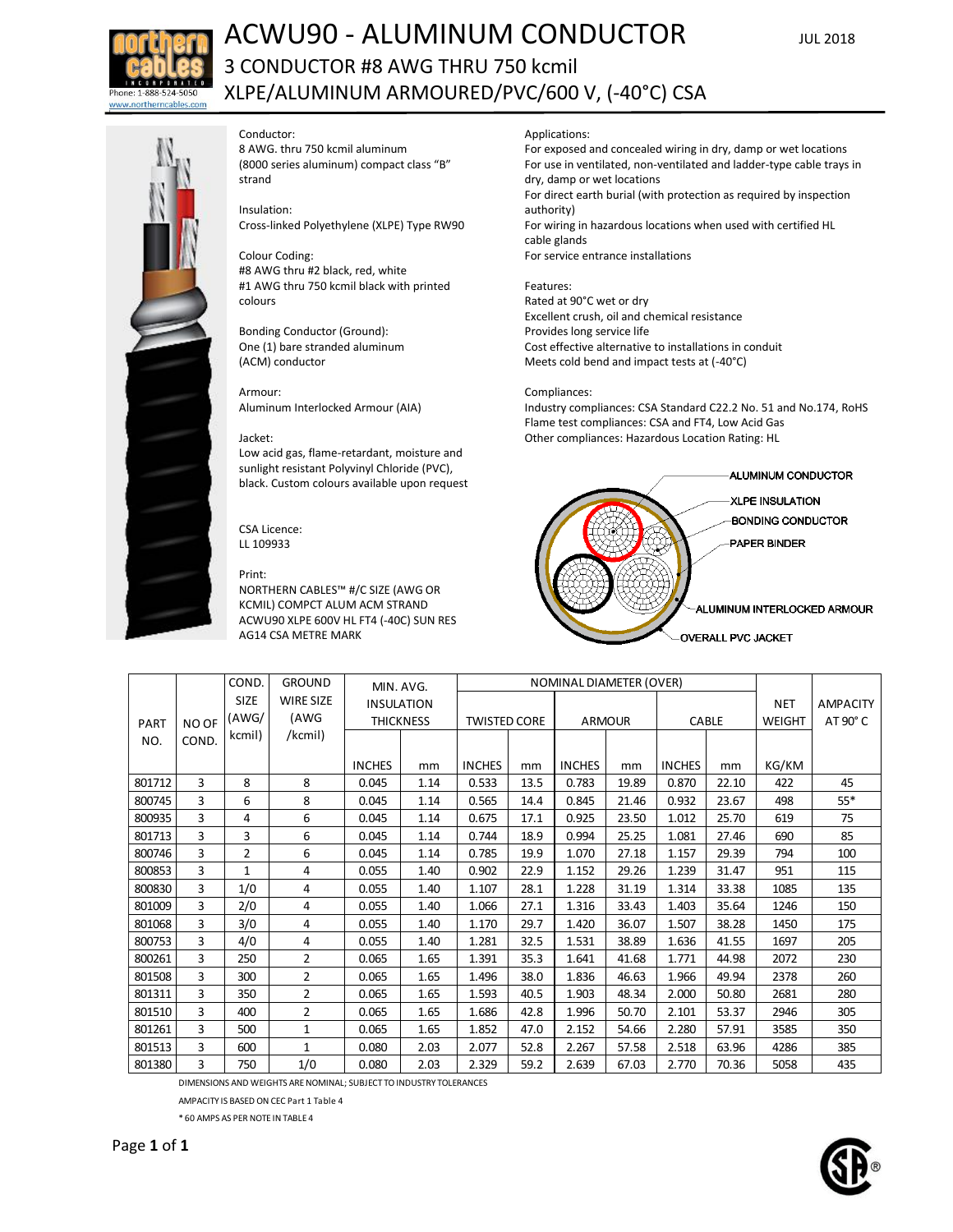

# ACWU90 - ALUMINUM CONDUCTOR JUL 2018 3 CONDUCTOR #8 AWG THRU 750 kcmil XLPE/ALUMINUM ARMOURED/PVC/600 V, (-40°C) CSA



## Conductor:

8 AWG. thru 750 kcmil aluminum (8000 series aluminum) compact class "B" strand

## Insulation:

Cross-linked Polyethylene (XLPE) Type RW90

# Colour Coding:

#8 AWG thru #2 black, red, white #1 AWG thru 750 kcmil black with printed colours

Bonding Conductor (Ground): One (1) bare stranded aluminum (ACM) conductor

#### Armour:

Aluminum Interlocked Armour (AIA)

#### Jacket:

Low acid gas, flame-retardant, moisture and sunlight resistant Polyvinyl Chloride (PVC), black. Custom colours available upon request

CSA Licence: LL 109933

## Print:

NORTHERN CABLES™ #/C SIZE (AWG OR KCMIL) COMPCT ALUM ACM STRAND ACWU90 XLPE 600V HL FT4 (-40C) SUN RES AG14 CSA METRE MARK

Applications:

For exposed and concealed wiring in dry, damp or wet locations For use in ventilated, non-ventilated and ladder-type cable trays in dry, damp or wet locations For direct earth burial (with protection as required by inspection authority) For wiring in hazardous locations when used with certified HL cable glands For service entrance installations

## Features:

Rated at 90°C wet or dry Excellent crush, oil and chemical resistance Provides long service life Cost effective alternative to installations in conduit Meets cold bend and impact tests at (-40°C)

## Compliances:

Industry compliances: CSA Standard C22.2 No. 51 and No.174, RoHS Flame test compliances: CSA and FT4, Low Acid Gas Other compliances: Hazardous Location Rating: HL



|             |       | COND.          | <b>GROUND</b>    | MIN. AVG.         |      |                     | <b>NOMINAL DIAMETER (OVER)</b> |               |       |               |       |               |                 |
|-------------|-------|----------------|------------------|-------------------|------|---------------------|--------------------------------|---------------|-------|---------------|-------|---------------|-----------------|
|             |       | SIZE           | <b>WIRE SIZE</b> | <b>INSULATION</b> |      |                     |                                |               |       |               |       | <b>NET</b>    | <b>AMPACITY</b> |
| <b>PART</b> | NO OF | (AWG/          | (AWG             | <b>THICKNESS</b>  |      | <b>TWISTED CORE</b> |                                | <b>ARMOUR</b> |       | CABLE         |       | <b>WEIGHT</b> | AT 90° C        |
| NO.         | COND. | kcmil)         | /kcmil)          |                   |      |                     |                                |               |       |               |       |               |                 |
|             |       |                |                  |                   |      |                     |                                |               |       |               |       |               |                 |
|             |       |                |                  | <b>INCHES</b>     | mm   | <b>INCHES</b>       | mm                             | <b>INCHES</b> | mm    | <b>INCHES</b> | mm    | KG/KM         |                 |
| 801712      | 3     | 8              | 8                | 0.045             | 1.14 | 0.533               | 13.5                           | 0.783         | 19.89 | 0.870         | 22.10 | 422           | 45              |
| 800745      | 3     | 6              | 8                | 0.045             | 1.14 | 0.565               | 14.4                           | 0.845         | 21.46 | 0.932         | 23.67 | 498           | 55*             |
| 800935      | 3     | 4              | 6                | 0.045             | 1.14 | 0.675               | 17.1                           | 0.925         | 23.50 | 1.012         | 25.70 | 619           | 75              |
| 801713      | 3     | 3              | 6                | 0.045             | 1.14 | 0.744               | 18.9                           | 0.994         | 25.25 | 1.081         | 27.46 | 690           | 85              |
| 800746      | 3     | $\overline{2}$ | 6                | 0.045             | 1.14 | 0.785               | 19.9                           | 1.070         | 27.18 | 1.157         | 29.39 | 794           | 100             |
| 800853      | 3     | $\mathbf{1}$   | 4                | 0.055             | 1.40 | 0.902               | 22.9                           | 1.152         | 29.26 | 1.239         | 31.47 | 951           | 115             |
| 800830      | 3     | 1/0            | 4                | 0.055             | 1.40 | 1.107               | 28.1                           | 1.228         | 31.19 | 1.314         | 33.38 | 1085          | 135             |
| 801009      | 3     | 2/0            | 4                | 0.055             | 1.40 | 1.066               | 27.1                           | 1.316         | 33.43 | 1.403         | 35.64 | 1246          | 150             |
| 801068      | 3     | 3/0            | 4                | 0.055             | 1.40 | 1.170               | 29.7                           | 1.420         | 36.07 | 1.507         | 38.28 | 1450          | 175             |
| 800753      | 3     | 4/0            | 4                | 0.055             | 1.40 | 1.281               | 32.5                           | 1.531         | 38.89 | 1.636         | 41.55 | 1697          | 205             |
| 800261      | 3     | 250            | $\overline{2}$   | 0.065             | 1.65 | 1.391               | 35.3                           | 1.641         | 41.68 | 1.771         | 44.98 | 2072          | 230             |
| 801508      | 3     | 300            | $\overline{2}$   | 0.065             | 1.65 | 1.496               | 38.0                           | 1.836         | 46.63 | 1.966         | 49.94 | 2378          | 260             |
| 801311      | 3     | 350            | $\overline{2}$   | 0.065             | 1.65 | 1.593               | 40.5                           | 1.903         | 48.34 | 2.000         | 50.80 | 2681          | 280             |
| 801510      | 3     | 400            | $\overline{2}$   | 0.065             | 1.65 | 1.686               | 42.8                           | 1.996         | 50.70 | 2.101         | 53.37 | 2946          | 305             |
| 801261      | 3     | 500            | $\mathbf{1}$     | 0.065             | 1.65 | 1.852               | 47.0                           | 2.152         | 54.66 | 2.280         | 57.91 | 3585          | 350             |
| 801513      | 3     | 600            | $\mathbf{1}$     | 0.080             | 2.03 | 2.077               | 52.8                           | 2.267         | 57.58 | 2.518         | 63.96 | 4286          | 385             |
| 801380      | 3     | 750            | 1/0              | 0.080             | 2.03 | 2.329               | 59.2                           | 2.639         | 67.03 | 2.770         | 70.36 | 5058          | 435             |

DIMENSIONS AND WEIGHTS ARE NOMINAL; SUBJECT TO INDUSTRY TOLERANCES

AMPACITY IS BASED ON CEC Part 1 Table 4

\* 60 AMPS AS PER NOTE IN TABLE 4